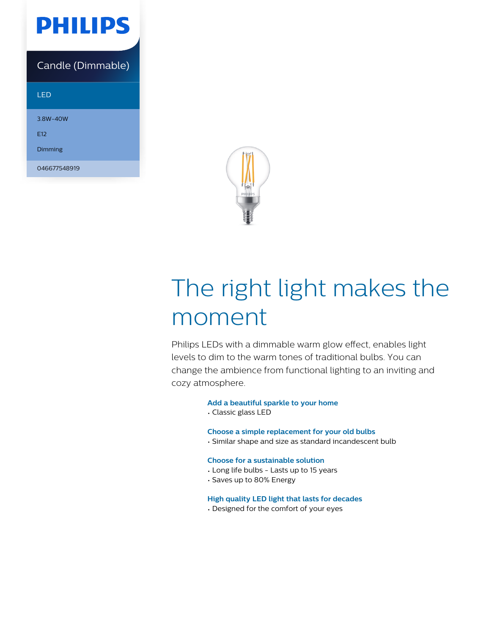

### Candle (Dimmable)

#### LED

3.8W-40W

E12

Dimming

046677548919



# The right light makes the moment

Philips LEDs with a dimmable warm glow effect, enables light levels to dim to the warm tones of traditional bulbs. You can change the ambience from functional lighting to an inviting and cozy atmosphere.

#### **Add a beautiful sparkle to your home**

• Classic glass LED

#### **Choose a simple replacement for your old bulbs**

• Similar shape and size as standard incandescent bulb

#### **Choose for a sustainable solution**

- Long life bulbs Lasts up to 15 years
- Saves up to 80% Energy

#### **High quality LED light that lasts for decades**

• Designed for the comfort of your eyes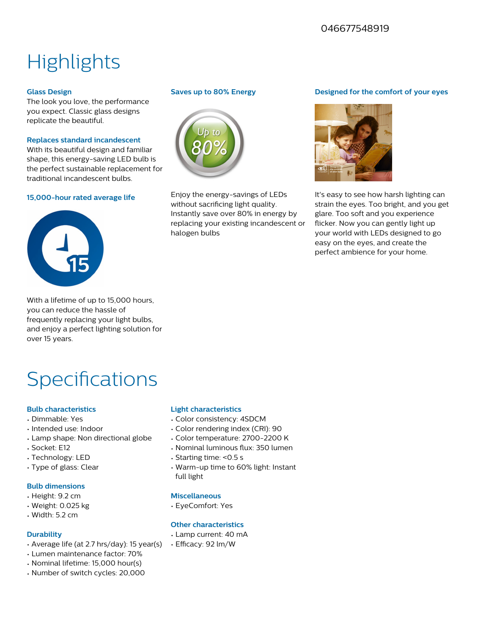### 046677548919

# **Highlights**

#### **Glass Design**

The look you love, the performance you expect. Classic glass designs replicate the beautiful.

#### **Replaces standard incandescent**

With its beautiful design and familiar shape, this energy-saving LED bulb is the perfect sustainable replacement for traditional incandescent bulbs.

#### **15,000-hour rated average life**



With a lifetime of up to 15,000 hours, you can reduce the hassle of frequently replacing your light bulbs, and enjoy a perfect lighting solution for over 15 years.

## **Specifications**

#### **Bulb characteristics**

- Dimmable: Yes
- Intended use: Indoor
- Lamp shape: Non directional globe
- Socket: E12
- Technology: LED
- Type of glass: Clear

#### **Bulb dimensions**

- Height: 9.2 cm
- Weight: 0.025 kg
- Width: 5.2 cm

#### **Durability**

- Average life (at 2.7 hrs/day): 15 year(s)
- Lumen maintenance factor: 70%
- Nominal lifetime: 15,000 hour(s)
- Number of switch cycles: 20,000

#### **Saves up to 80% Energy**



Enjoy the energy-savings of LEDs without sacrificing light quality. Instantly save over 80% in energy by replacing your existing incandescent or halogen bulbs

#### **Designed for the comfort of your eyes**



It's easy to see how harsh lighting can strain the eyes. Too bright, and you get glare. Too soft and you experience flicker. Now you can gently light up your world with LEDs designed to go easy on the eyes, and create the perfect ambience for your home.

#### **Light characteristics**

- Color consistency: 4SDCM
- Color rendering index (CRI): 90
- Color temperature: 2700-2200 K
- Nominal luminous flux: 350 lumen
- Starting time: <0.5 s
- Warm-up time to 60% light: Instant full light

#### **Miscellaneous**

• EyeComfort: Yes

#### **Other characteristics**

- Lamp current: 40 mA
- Efficacy: 92 lm/W